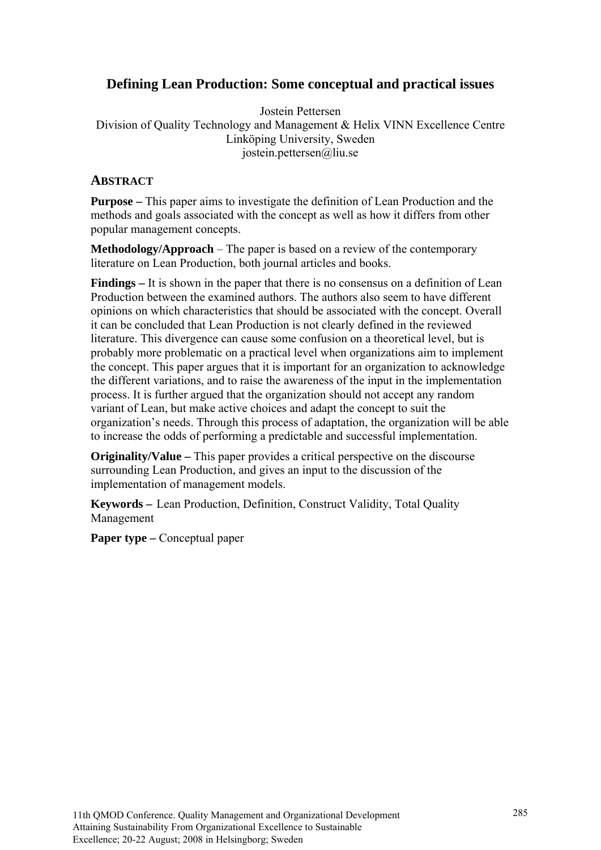# **Defining Lean Production: Some conceptual and practical issues**

Jostein Pettersen Division of Quality Technology and Management & Helix VINN Excellence Centre Linköping University, Sweden jostein.pettersen@liu.se

## **ABSTRACT**

**Purpose –** This paper aims to investigate the definition of Lean Production and the methods and goals associated with the concept as well as how it differs from other popular management concepts.

**Methodology/Approach** – The paper is based on a review of the contemporary literature on Lean Production, both journal articles and books.

**Findings –** It is shown in the paper that there is no consensus on a definition of Lean Production between the examined authors. The authors also seem to have different opinions on which characteristics that should be associated with the concept. Overall it can be concluded that Lean Production is not clearly defined in the reviewed literature. This divergence can cause some confusion on a theoretical level, but is probably more problematic on a practical level when organizations aim to implement the concept. This paper argues that it is important for an organization to acknowledge the different variations, and to raise the awareness of the input in the implementation process. It is further argued that the organization should not accept any random variant of Lean, but make active choices and adapt the concept to suit the organization's needs. Through this process of adaptation, the organization will be able to increase the odds of performing a predictable and successful implementation.

**Originality/Value –** This paper provides a critical perspective on the discourse surrounding Lean Production, and gives an input to the discussion of the implementation of management models.

**Keywords –** Lean Production, Definition, Construct Validity, Total Quality Management

**Paper type – Conceptual paper**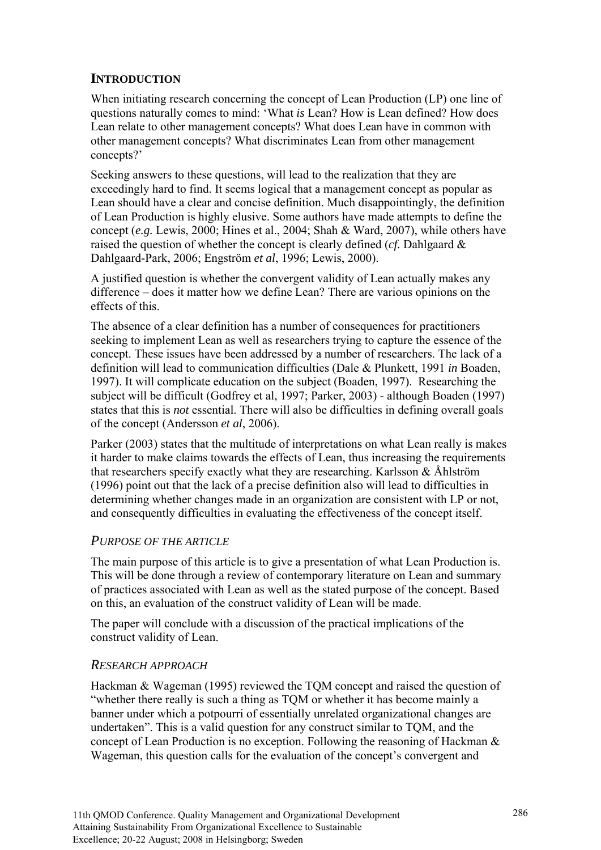# **INTRODUCTION**

When initiating research concerning the concept of Lean Production (LP) one line of questions naturally comes to mind: 'What *is* Lean? How is Lean defined? How does Lean relate to other management concepts? What does Lean have in common with other management concepts? What discriminates Lean from other management concepts?'

Seeking answers to these questions, will lead to the realization that they are exceedingly hard to find. It seems logical that a management concept as popular as Lean should have a clear and concise definition. Much disappointingly, the definition of Lean Production is highly elusive. Some authors have made attempts to define the concept (*e.g.* Lewis, 2000; Hines et al., 2004; Shah & Ward, 2007), while others have raised the question of whether the concept is clearly defined (*cf.* Dahlgaard & Dahlgaard-Park, 2006; Engström *et al*, 1996; Lewis, 2000).

A justified question is whether the convergent validity of Lean actually makes any difference – does it matter how we define Lean? There are various opinions on the effects of this.

The absence of a clear definition has a number of consequences for practitioners seeking to implement Lean as well as researchers trying to capture the essence of the concept. These issues have been addressed by a number of researchers. The lack of a definition will lead to communication difficulties (Dale & Plunkett, 1991 *in* Boaden, 1997). It will complicate education on the subject (Boaden, 1997). Researching the subject will be difficult (Godfrey et al, 1997; Parker, 2003) - although Boaden (1997) states that this is *not* essential. There will also be difficulties in defining overall goals of the concept (Andersson *et al*, 2006).

Parker (2003) states that the multitude of interpretations on what Lean really is makes it harder to make claims towards the effects of Lean, thus increasing the requirements that researchers specify exactly what they are researching. Karlsson & Åhlström (1996) point out that the lack of a precise definition also will lead to difficulties in determining whether changes made in an organization are consistent with LP or not, and consequently difficulties in evaluating the effectiveness of the concept itself.

## *PURPOSE OF THE ARTICLE*

The main purpose of this article is to give a presentation of what Lean Production is. This will be done through a review of contemporary literature on Lean and summary of practices associated with Lean as well as the stated purpose of the concept. Based on this, an evaluation of the construct validity of Lean will be made.

The paper will conclude with a discussion of the practical implications of the construct validity of Lean.

## *RESEARCH APPROACH*

Hackman & Wageman (1995) reviewed the TQM concept and raised the question of "whether there really is such a thing as TQM or whether it has become mainly a banner under which a potpourri of essentially unrelated organizational changes are undertaken". This is a valid question for any construct similar to TQM, and the concept of Lean Production is no exception. Following the reasoning of Hackman & Wageman, this question calls for the evaluation of the concept's convergent and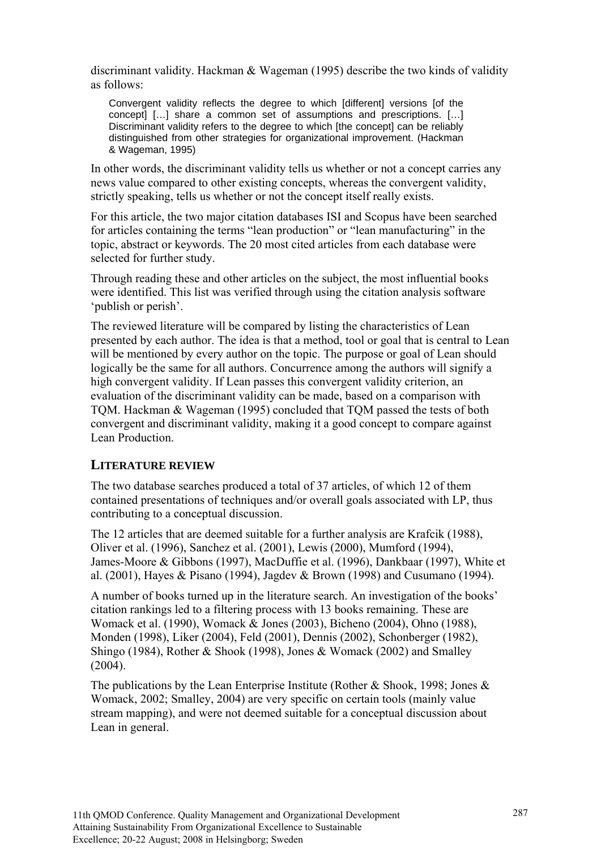discriminant validity. Hackman & Wageman (1995) describe the two kinds of validity as follows:

Convergent validity reflects the degree to which [different] versions [of the concept] […] share a common set of assumptions and prescriptions. […] Discriminant validity refers to the degree to which [the concept] can be reliably distinguished from other strategies for organizational improvement. (Hackman & Wageman, 1995)

In other words, the discriminant validity tells us whether or not a concept carries any news value compared to other existing concepts, whereas the convergent validity, strictly speaking, tells us whether or not the concept itself really exists.

For this article, the two major citation databases ISI and Scopus have been searched for articles containing the terms "lean production" or "lean manufacturing" in the topic, abstract or keywords. The 20 most cited articles from each database were selected for further study.

Through reading these and other articles on the subject, the most influential books were identified. This list was verified through using the citation analysis software 'publish or perish'.

The reviewed literature will be compared by listing the characteristics of Lean presented by each author. The idea is that a method, tool or goal that is central to Lean will be mentioned by every author on the topic. The purpose or goal of Lean should logically be the same for all authors. Concurrence among the authors will signify a high convergent validity. If Lean passes this convergent validity criterion, an evaluation of the discriminant validity can be made, based on a comparison with TQM. Hackman & Wageman (1995) concluded that TQM passed the tests of both convergent and discriminant validity, making it a good concept to compare against Lean Production.

#### **LITERATURE REVIEW**

The two database searches produced a total of 37 articles, of which 12 of them contained presentations of techniques and/or overall goals associated with LP, thus contributing to a conceptual discussion.

The 12 articles that are deemed suitable for a further analysis are Krafcik (1988), Oliver et al. (1996), Sanchez et al. (2001), Lewis (2000), Mumford (1994), James-Moore & Gibbons (1997), MacDuffie et al. (1996), Dankbaar (1997), White et al. (2001), Hayes & Pisano (1994), Jagdev & Brown (1998) and Cusumano (1994).

A number of books turned up in the literature search. An investigation of the books' citation rankings led to a filtering process with 13 books remaining. These are Womack et al. (1990), Womack & Jones (2003), Bicheno (2004), Ohno (1988), Monden (1998), Liker (2004), Feld (2001), Dennis (2002), Schonberger (1982), Shingo (1984), Rother & Shook (1998), Jones & Womack (2002) and Smalley (2004).

The publications by the Lean Enterprise Institute (Rother & Shook, 1998; Jones & Womack, 2002; Smalley, 2004) are very specific on certain tools (mainly value stream mapping), and were not deemed suitable for a conceptual discussion about Lean in general.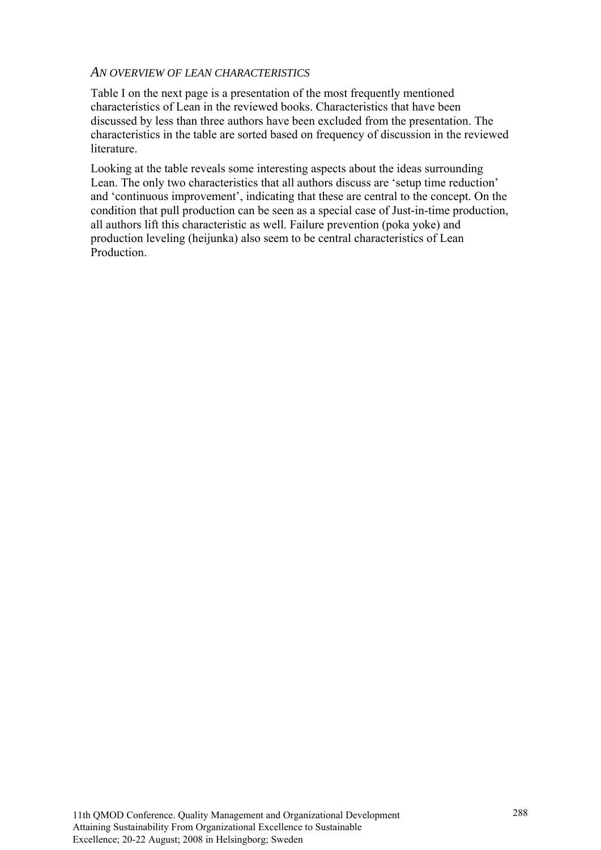### *AN OVERVIEW OF LEAN CHARACTERISTICS*

Table I on the next page is a presentation of the most frequently mentioned characteristics of Lean in the reviewed books. Characteristics that have been discussed by less than three authors have been excluded from the presentation. The characteristics in the table are sorted based on frequency of discussion in the reviewed literature.

Looking at the table reveals some interesting aspects about the ideas surrounding Lean. The only two characteristics that all authors discuss are 'setup time reduction' and 'continuous improvement', indicating that these are central to the concept. On the condition that pull production can be seen as a special case of Just-in-time production, all authors lift this characteristic as well. Failure prevention (poka yoke) and production leveling (heijunka) also seem to be central characteristics of Lean Production.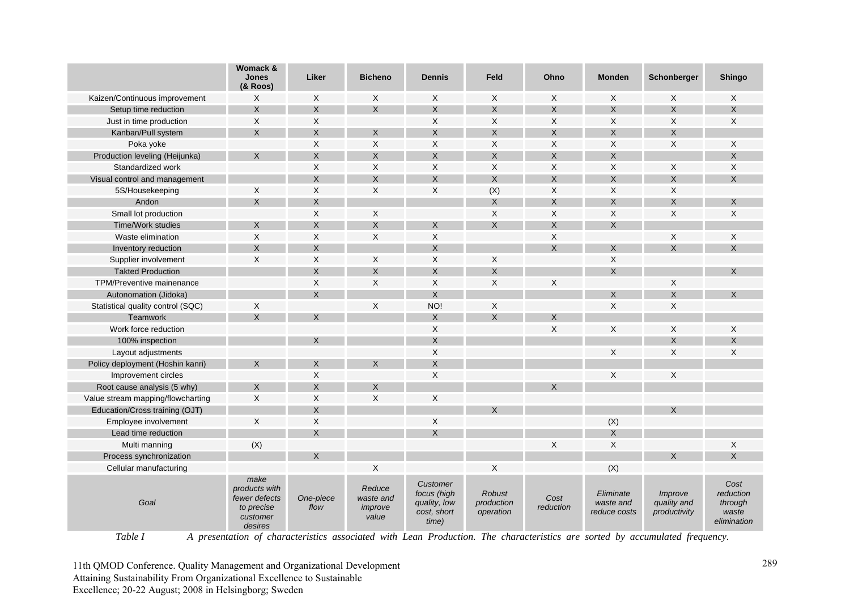|                                   | Womack &<br><b>Jones</b><br>(& Roos)                                        | Liker             | <b>Bicheno</b>                          | <b>Dennis</b>                                                   | Feld                                     | Ohno                      | <b>Monden</b>                          | Schonberger                            | <b>Shingo</b>                                        |
|-----------------------------------|-----------------------------------------------------------------------------|-------------------|-----------------------------------------|-----------------------------------------------------------------|------------------------------------------|---------------------------|----------------------------------------|----------------------------------------|------------------------------------------------------|
| Kaizen/Continuous improvement     | X                                                                           | X                 | X                                       | X                                                               | $\times$                                 | X                         | X                                      | X                                      | X                                                    |
| Setup time reduction              | $\times$                                                                    | $\mathsf{X}$      | X.                                      | $\mathsf{X}$                                                    | $\sf X$                                  | $\mathsf{x}$              | $\times$                               | $\mathsf{X}$                           | $\times$                                             |
| Just in time production           | X                                                                           | X                 |                                         | X                                                               | X                                        | X                         | $\boldsymbol{\mathsf{X}}$              | X                                      | X                                                    |
| Kanban/Pull system                | X                                                                           | $\sf X$           | $\times$                                | X                                                               | $\times$                                 | $\times$                  | $\times$                               | $\sf X$                                |                                                      |
| Poka voke                         |                                                                             | $\times$          | $\times$                                | X                                                               | $\times$                                 | X                         | $\times$                               | X                                      | X                                                    |
| Production leveling (Heijunka)    | X                                                                           | $\times$          | X                                       | X                                                               | $\times$                                 | $\times$                  | X                                      |                                        | $\sf X$                                              |
| Standardized work                 |                                                                             | $\mathsf X$       | X                                       | Χ                                                               | X                                        | X                         | $\boldsymbol{\mathsf{X}}$              | X                                      | X                                                    |
| Visual control and management     |                                                                             | $\mathsf{X}$      | $\times$                                | $\times$                                                        | $\mathsf{X}$                             | $\mathsf{x}$              | $\times$                               | X                                      | X                                                    |
| 5S/Housekeeping                   | X                                                                           | X                 | Χ                                       | Χ                                                               | (X)                                      | X                         | $\mathsf X$                            | X                                      |                                                      |
| Andon                             | $\mathsf{X}$                                                                | $\times$          |                                         |                                                                 | $\sf X$                                  | $\times$                  | $\times$                               | $\mathsf{X}$                           | X                                                    |
| Small lot production              |                                                                             | X                 | X                                       |                                                                 | $\times$                                 | X                         | X                                      | X                                      | X                                                    |
| <b>Time/Work studies</b>          | X                                                                           | $\times$          | X                                       | X                                                               | $\sf X$                                  | $\times$                  | X                                      |                                        |                                                      |
| Waste elimination                 | $\mathsf{X}$                                                                | $\times$          | $\times$                                | X                                                               |                                          | $\times$                  |                                        | X                                      | X                                                    |
| Inventory reduction               | $\times$                                                                    | $\mathsf{X}$      |                                         | X                                                               |                                          | $\times$                  | $\times$                               | X                                      | $\times$                                             |
| Supplier involvement              | X                                                                           | X                 | X                                       | X                                                               | X                                        |                           | $\mathsf X$                            |                                        |                                                      |
| <b>Takted Production</b>          |                                                                             | $\times$          | X                                       | $\times$                                                        | $\times$                                 |                           | $\mathsf X$                            |                                        | X                                                    |
| TPM/Preventive mainenance         |                                                                             | $\mathsf X$       | X                                       | Χ                                                               | $\times$                                 | X                         |                                        | $\boldsymbol{\mathsf{X}}$              |                                                      |
| Autonomation (Jidoka)             |                                                                             | $\mathsf{X}$      |                                         | $\times$                                                        |                                          |                           | X                                      | $\mathsf{X}$                           | $\times$                                             |
| Statistical quality control (SQC) | $\mathsf X$                                                                 |                   | $\times$                                | NO!                                                             | $\times$                                 |                           | $\times$                               | $\boldsymbol{\mathsf{X}}$              |                                                      |
| Teamwork                          | $\mathsf{X}$                                                                | $\mathsf{X}$      |                                         | $\mathsf{X}$                                                    | X                                        | $\mathsf{X}$              |                                        |                                        |                                                      |
| Work force reduction              |                                                                             |                   |                                         | X                                                               |                                          | X                         | $\sf X$                                | X                                      | X                                                    |
| 100% inspection                   |                                                                             | $\mathsf{X}$      |                                         | $\times$                                                        |                                          |                           |                                        | $\mathsf{X}$                           | $\times$                                             |
| Layout adjustments                |                                                                             |                   |                                         | Χ                                                               |                                          |                           | $\times$                               | $\times$                               | X                                                    |
| Policy deployment (Hoshin kanri)  | X                                                                           | X                 | X                                       | $\sf X$                                                         |                                          |                           |                                        |                                        |                                                      |
| Improvement circles               |                                                                             | $\times$          |                                         | X                                                               |                                          |                           | $\times$                               | X                                      |                                                      |
| Root cause analysis (5 why)       | X                                                                           | $\times$          | X                                       |                                                                 |                                          | X                         |                                        |                                        |                                                      |
| Value stream mapping/flowcharting | $\mathsf X$                                                                 | X                 | Χ                                       | Χ                                                               |                                          |                           |                                        |                                        |                                                      |
| Education/Cross training (OJT)    |                                                                             | $\times$          |                                         |                                                                 | X                                        |                           |                                        | X                                      |                                                      |
| Employee involvement              | $\times$                                                                    | $\mathsf X$       |                                         | X                                                               |                                          |                           | (X)                                    |                                        |                                                      |
| Lead time reduction               |                                                                             | $\mathsf{X}$      |                                         | $\times$                                                        |                                          |                           | $\times$                               |                                        |                                                      |
| Multi manning                     | (X)                                                                         |                   |                                         |                                                                 |                                          | $\boldsymbol{\mathsf{X}}$ | $\boldsymbol{\mathsf{X}}$              |                                        | $\mathsf X$                                          |
| Process synchronization           |                                                                             | $\mathsf{X}$      |                                         |                                                                 |                                          |                           |                                        | X                                      | $\times$                                             |
| Cellular manufacturing            |                                                                             |                   | Χ                                       |                                                                 | X                                        |                           | (X)                                    |                                        |                                                      |
| Goal                              | make<br>products with<br>fewer defects<br>to precise<br>customer<br>desires | One-piece<br>flow | Reduce<br>waste and<br>improve<br>value | Customer<br>focus (high<br>quality, low<br>cost, short<br>time) | <b>Robust</b><br>production<br>operation | Cost<br>reduction         | Eliminate<br>waste and<br>reduce costs | Improve<br>quality and<br>productivity | Cost<br>reduction<br>through<br>waste<br>elimination |

*Table I A presentation of characteristics associated with Lean Production. The characteristics are sorted by accumulated frequency.*

11th QMOD Conference. Quality Management and Organizational Development Attaining Sustainability From Organizational Excellence to Sustainable Excellence; 20-22 August; 2008 in Helsingborg; Sweden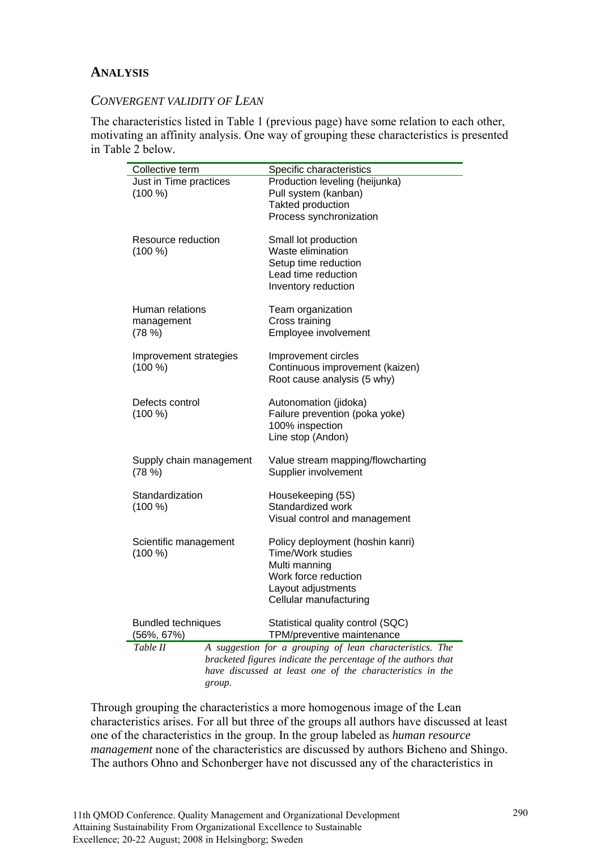## **ANALYSIS**

### *CONVERGENT VALIDITY OF LEAN*

The characteristics listed in Table 1 (previous page) have some relation to each other, motivating an affinity analysis. One way of grouping these characteristics is presented in Table 2 below.

| Collective term                             |        | Specific characteristics                                                                                                                                                               |  |  |
|---------------------------------------------|--------|----------------------------------------------------------------------------------------------------------------------------------------------------------------------------------------|--|--|
| Just in Time practices<br>(100 %)           |        | Production leveling (heijunka)<br>Pull system (kanban)<br>Takted production<br>Process synchronization                                                                                 |  |  |
| Resource reduction<br>(100 %)               |        | Small lot production<br>Waste elimination<br>Setup time reduction<br>Lead time reduction<br>Inventory reduction                                                                        |  |  |
| Human relations<br>management<br>(78%)      |        | Team organization<br>Cross training<br>Employee involvement                                                                                                                            |  |  |
| Improvement strategies<br>(100 %)           |        | Improvement circles<br>Continuous improvement (kaizen)<br>Root cause analysis (5 why)                                                                                                  |  |  |
| Defects control<br>(100 %)                  |        | Autonomation (jidoka)<br>Failure prevention (poka yoke)<br>100% inspection<br>Line stop (Andon)                                                                                        |  |  |
| Supply chain management<br>(78%)            |        | Value stream mapping/flowcharting<br>Supplier involvement                                                                                                                              |  |  |
| Standardization<br>(100 %)                  |        | Housekeeping (5S)<br>Standardized work<br>Visual control and management                                                                                                                |  |  |
| Scientific management<br>(100 %)            |        | Policy deployment (hoshin kanri)<br>Time/Work studies<br>Multi manning<br>Work force reduction<br>Layout adjustments<br>Cellular manufacturing                                         |  |  |
| <b>Bundled techniques</b><br>$(56\%, 67\%)$ |        | Statistical quality control (SQC)<br>TPM/preventive maintenance                                                                                                                        |  |  |
| Table II                                    | group. | A suggestion for a grouping of lean characteristics. The<br>bracketed figures indicate the percentage of the authors that<br>have discussed at least one of the characteristics in the |  |  |

Through grouping the characteristics a more homogenous image of the Lean characteristics arises. For all but three of the groups all authors have discussed at least one of the characteristics in the group. In the group labeled as *human resource management* none of the characteristics are discussed by authors Bicheno and Shingo. The authors Ohno and Schonberger have not discussed any of the characteristics in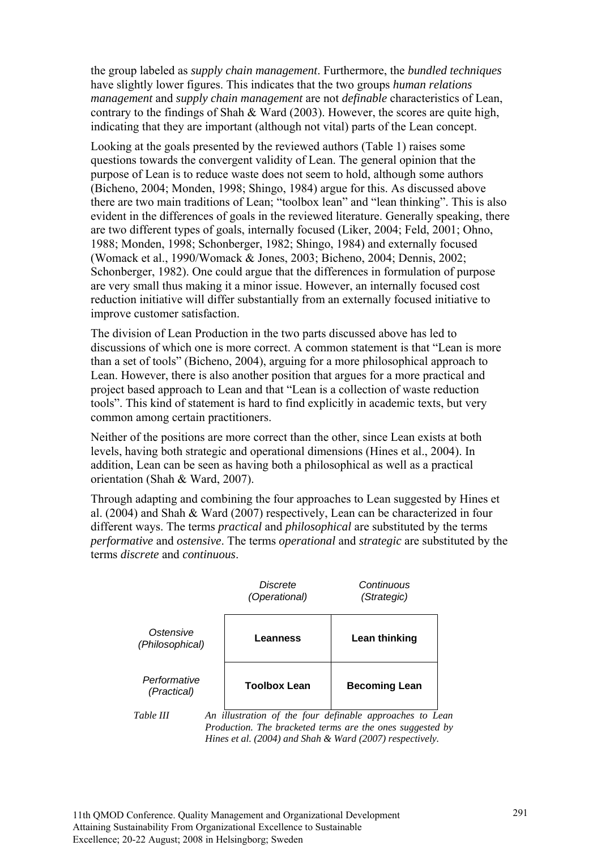the group labeled as *supply chain management*. Furthermore, the *bundled techniques* have slightly lower figures. This indicates that the two groups *human relations management* and *supply chain management* are not *definable* characteristics of Lean, contrary to the findings of Shah & Ward (2003). However, the scores are quite high, indicating that they are important (although not vital) parts of the Lean concept.

Looking at the goals presented by the reviewed authors (Table 1) raises some questions towards the convergent validity of Lean. The general opinion that the purpose of Lean is to reduce waste does not seem to hold, although some authors (Bicheno, 2004; Monden, 1998; Shingo, 1984) argue for this. As discussed above there are two main traditions of Lean; "toolbox lean" and "lean thinking". This is also evident in the differences of goals in the reviewed literature. Generally speaking, there are two different types of goals, internally focused (Liker, 2004; Feld, 2001; Ohno, 1988; Monden, 1998; Schonberger, 1982; Shingo, 1984) and externally focused (Womack et al., 1990/Womack & Jones, 2003; Bicheno, 2004; Dennis, 2002; Schonberger, 1982). One could argue that the differences in formulation of purpose are very small thus making it a minor issue. However, an internally focused cost reduction initiative will differ substantially from an externally focused initiative to improve customer satisfaction.

The division of Lean Production in the two parts discussed above has led to discussions of which one is more correct. A common statement is that "Lean is more than a set of tools" (Bicheno, 2004), arguing for a more philosophical approach to Lean. However, there is also another position that argues for a more practical and project based approach to Lean and that "Lean is a collection of waste reduction tools". This kind of statement is hard to find explicitly in academic texts, but very common among certain practitioners.

Neither of the positions are more correct than the other, since Lean exists at both levels, having both strategic and operational dimensions (Hines et al., 2004). In addition, Lean can be seen as having both a philosophical as well as a practical orientation (Shah & Ward, 2007).

Through adapting and combining the four approaches to Lean suggested by Hines et al. (2004) and Shah & Ward (2007) respectively, Lean can be characterized in four different ways. The terms *practical* and *philosophical* are substituted by the terms *performative* and *ostensive*. The terms *operational* and *strategic* are substituted by the terms *discrete* and *continuous*.

|                              | Discrete<br>(Operational)                             | Continuous<br>(Strategic) |
|------------------------------|-------------------------------------------------------|---------------------------|
| Ostensive<br>(Philosophical) | Leanness                                              | Lean thinking             |
| Performative<br>(Practical)  | <b>Toolbox Lean</b>                                   | <b>Becoming Lean</b>      |
| Table III                    | An illustration of the four definable approaches to L |                           |

*Table III An illustration of the four definable approaches to Lean Production. The bracketed terms are the ones suggested by Hines et al. (2004) and Shah & Ward (2007) respectively.*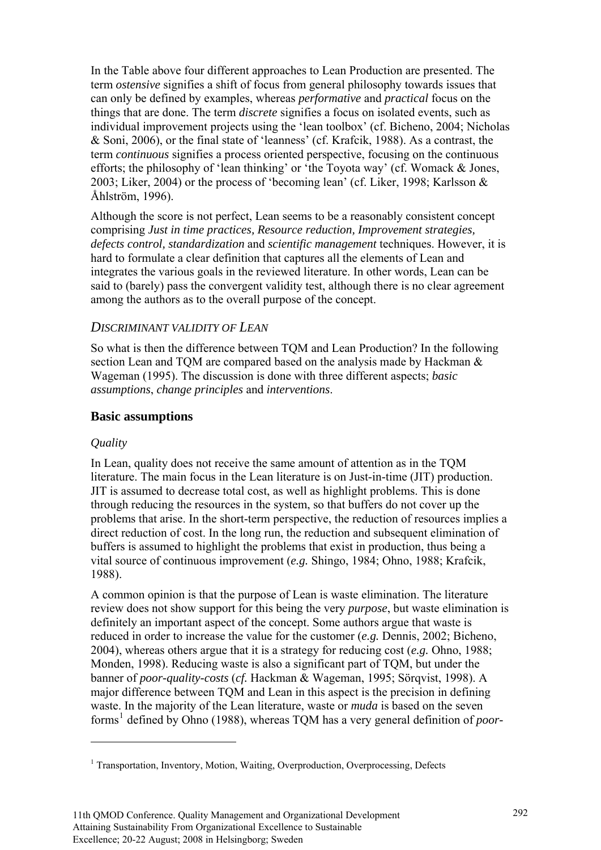<span id="page-7-0"></span>In the Table above four different approaches to Lean Production are presented. The term *ostensive* signifies a shift of focus from general philosophy towards issues that can only be defined by examples, whereas *performative* and *practical* focus on the things that are done. The term *discrete* signifies a focus on isolated events, such as individual improvement projects using the 'lean toolbox' (cf. Bicheno, 2004; Nicholas & Soni, 2006), or the final state of 'leanness' (cf. Krafcik, 1988). As a contrast, the term *continuous* signifies a process oriented perspective, focusing on the continuous efforts; the philosophy of 'lean thinking' or 'the Toyota way' (cf. Womack & Jones, 2003; Liker, 2004) or the process of 'becoming lean' (cf. Liker, 1998; Karlsson & Åhlström, 1996).

Although the score is not perfect, Lean seems to be a reasonably consistent concept comprising *Just in time practices, Resource reduction, Improvement strategies, defects control, standardization* and *scientific management* techniques. However, it is hard to formulate a clear definition that captures all the elements of Lean and integrates the various goals in the reviewed literature. In other words, Lean can be said to (barely) pass the convergent validity test, although there is no clear agreement among the authors as to the overall purpose of the concept.

## *DISCRIMINANT VALIDITY OF LEAN*

So what is then the difference between TQM and Lean Production? In the following section Lean and TOM are compared based on the analysis made by Hackman  $\&$ Wageman (1995). The discussion is done with three different aspects; *basic assumptions*, *change principles* and *interventions*.

### **Basic assumptions**

#### *Quality*

 $\overline{a}$ 

In Lean, quality does not receive the same amount of attention as in the TQM literature. The main focus in the Lean literature is on Just-in-time (JIT) production. JIT is assumed to decrease total cost, as well as highlight problems. This is done through reducing the resources in the system, so that buffers do not cover up the problems that arise. In the short-term perspective, the reduction of resources implies a direct reduction of cost. In the long run, the reduction and subsequent elimination of buffers is assumed to highlight the problems that exist in production, thus being a vital source of continuous improvement (*e.g.* Shingo, 1984; Ohno, 1988; Krafcik, 1988).

A common opinion is that the purpose of Lean is waste elimination. The literature review does not show support for this being the very *purpose*, but waste elimination is definitely an important aspect of the concept. Some authors argue that waste is reduced in order to increase the value for the customer (*e.g.* Dennis, 2002; Bicheno, 2004), whereas others argue that it is a strategy for reducing cost (*e.g.* Ohno, 1988; Monden, 1998). Reducing waste is also a significant part of TQM, but under the banner of *poor-quality-costs* (*cf.* Hackman & Wageman, 1995; Sörqvist, 1998). A major difference between TQM and Lean in this aspect is the precision in defining waste. In the majority of the Lean literature, waste or *muda* is based on the seven forms<sup>[1](#page-7-0)</sup> defined by Ohno (1988), whereas TQM has a very general definition of *poor*-

<sup>&</sup>lt;sup>1</sup> Transportation, Inventory, Motion, Waiting, Overproduction, Overprocessing, Defects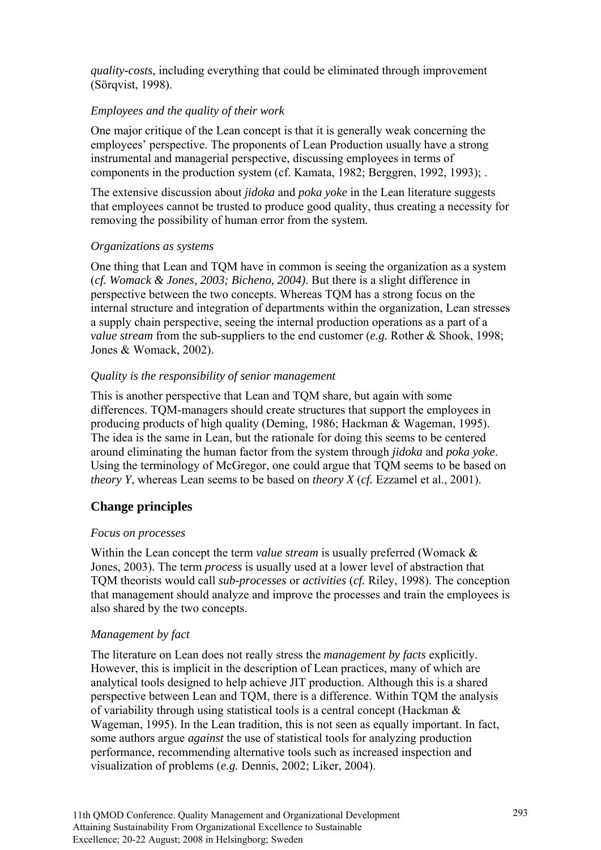*quality-costs*, including everything that could be eliminated through improvement (Sörqvist, 1998).

## *Employees and the quality of their work*

One major critique of the Lean concept is that it is generally weak concerning the employees' perspective. The proponents of Lean Production usually have a strong instrumental and managerial perspective, discussing employees in terms of components in the production system (cf. Kamata, 1982; Berggren, 1992, 1993); .

The extensive discussion about *jidoka* and *poka yoke* in the Lean literature suggests that employees cannot be trusted to produce good quality, thus creating a necessity for removing the possibility of human error from the system.

### *Organizations as systems*

One thing that Lean and TQM have in common is seeing the organization as a system (*cf. Womack & Jones, 2003; Bicheno, 2004)*. But there is a slight difference in perspective between the two concepts. Whereas TQM has a strong focus on the internal structure and integration of departments within the organization, Lean stresses a supply chain perspective, seeing the internal production operations as a part of a *value stream* from the sub-suppliers to the end customer (*e.g.* Rother & Shook, 1998; Jones & Womack, 2002).

## *Quality is the responsibility of senior management*

This is another perspective that Lean and TQM share, but again with some differences. TQM-managers should create structures that support the employees in producing products of high quality (Deming, 1986; Hackman & Wageman, 1995). The idea is the same in Lean, but the rationale for doing this seems to be centered around eliminating the human factor from the system through *jidoka* and *poka yoke*. Using the terminology of McGregor, one could argue that TQM seems to be based on *theory Y*, whereas Lean seems to be based on *theory X* (*cf.* Ezzamel et al., 2001).

## **Change principles**

## *Focus on processes*

Within the Lean concept the term *value stream* is usually preferred (Womack & Jones, 2003). The term *process* is usually used at a lower level of abstraction that TQM theorists would call *sub-processes* or *activities* (*cf.* Riley, 1998). The conception that management should analyze and improve the processes and train the employees is also shared by the two concepts.

## *Management by fact*

The literature on Lean does not really stress the *management by facts* explicitly. However, this is implicit in the description of Lean practices, many of which are analytical tools designed to help achieve JIT production. Although this is a shared perspective between Lean and TQM, there is a difference. Within TQM the analysis of variability through using statistical tools is a central concept (Hackman & Wageman, 1995). In the Lean tradition, this is not seen as equally important. In fact, some authors argue *against* the use of statistical tools for analyzing production performance, recommending alternative tools such as increased inspection and visualization of problems (*e.g.* Dennis, 2002; Liker, 2004).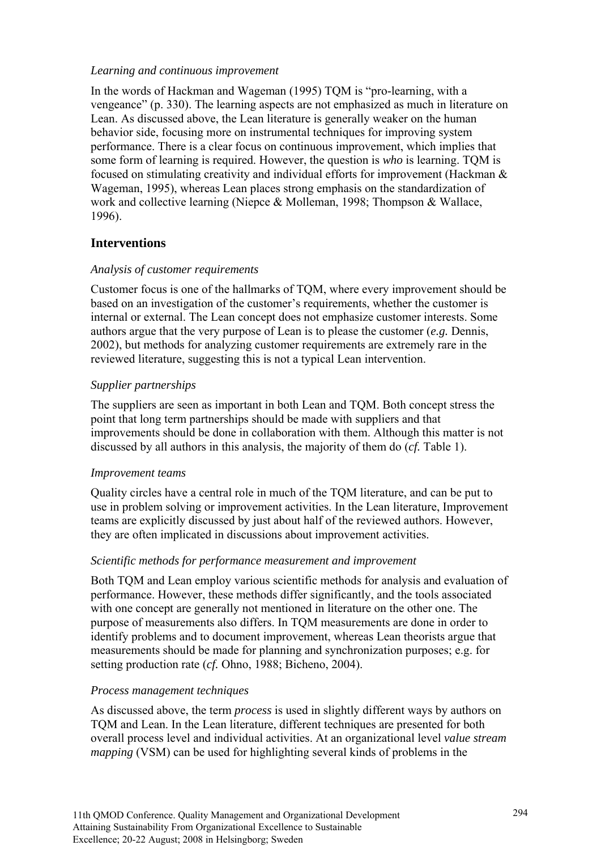### *Learning and continuous improvement*

In the words of Hackman and Wageman (1995) TQM is "pro-learning, with a vengeance" (p. 330). The learning aspects are not emphasized as much in literature on Lean. As discussed above, the Lean literature is generally weaker on the human behavior side, focusing more on instrumental techniques for improving system performance. There is a clear focus on continuous improvement, which implies that some form of learning is required. However, the question is *who* is learning. TQM is focused on stimulating creativity and individual efforts for improvement (Hackman & Wageman, 1995), whereas Lean places strong emphasis on the standardization of work and collective learning (Niepce & Molleman, 1998; Thompson & Wallace, 1996).

## **Interventions**

## *Analysis of customer requirements*

Customer focus is one of the hallmarks of TQM, where every improvement should be based on an investigation of the customer's requirements, whether the customer is internal or external. The Lean concept does not emphasize customer interests. Some authors argue that the very purpose of Lean is to please the customer (*e.g.* Dennis, 2002), but methods for analyzing customer requirements are extremely rare in the reviewed literature, suggesting this is not a typical Lean intervention.

### *Supplier partnerships*

The suppliers are seen as important in both Lean and TQM. Both concept stress the point that long term partnerships should be made with suppliers and that improvements should be done in collaboration with them. Although this matter is not discussed by all authors in this analysis, the majority of them do (*cf.* Table 1).

#### *Improvement teams*

Quality circles have a central role in much of the TQM literature, and can be put to use in problem solving or improvement activities. In the Lean literature, Improvement teams are explicitly discussed by just about half of the reviewed authors. However, they are often implicated in discussions about improvement activities.

#### *Scientific methods for performance measurement and improvement*

Both TQM and Lean employ various scientific methods for analysis and evaluation of performance. However, these methods differ significantly, and the tools associated with one concept are generally not mentioned in literature on the other one. The purpose of measurements also differs. In TQM measurements are done in order to identify problems and to document improvement, whereas Lean theorists argue that measurements should be made for planning and synchronization purposes; e.g. for setting production rate (*cf.* Ohno, 1988; Bicheno, 2004).

#### *Process management techniques*

As discussed above, the term *process* is used in slightly different ways by authors on TQM and Lean. In the Lean literature, different techniques are presented for both overall process level and individual activities. At an organizational level *value stream mapping* (VSM) can be used for highlighting several kinds of problems in the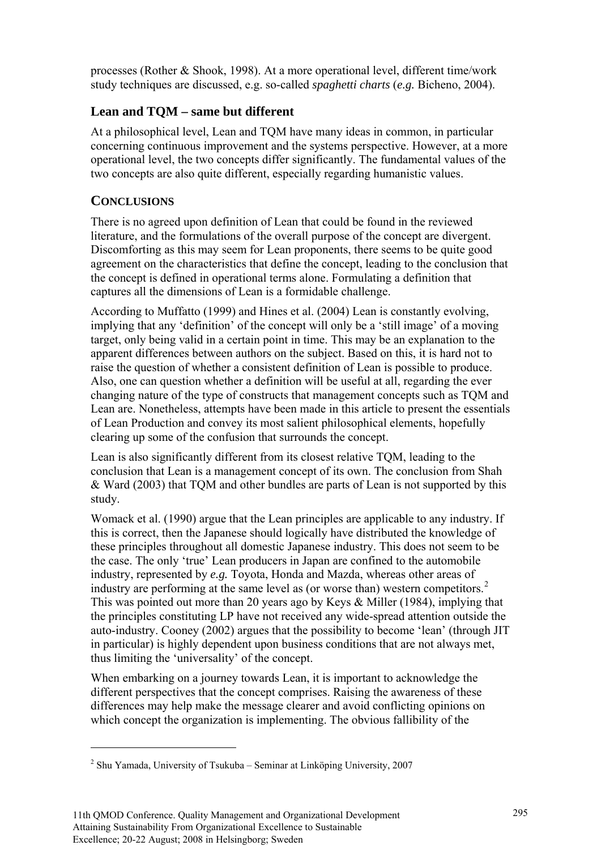<span id="page-10-0"></span>processes (Rother & Shook, 1998). At a more operational level, different time/work study techniques are discussed, e.g. so-called *spaghetti charts* (*e.g.* Bicheno, 2004).

# **Lean and TQM – same but different**

At a philosophical level, Lean and TQM have many ideas in common, in particular concerning continuous improvement and the systems perspective. However, at a more operational level, the two concepts differ significantly. The fundamental values of the two concepts are also quite different, especially regarding humanistic values.

## **CONCLUSIONS**

 $\overline{a}$ 

There is no agreed upon definition of Lean that could be found in the reviewed literature, and the formulations of the overall purpose of the concept are divergent. Discomforting as this may seem for Lean proponents, there seems to be quite good agreement on the characteristics that define the concept, leading to the conclusion that the concept is defined in operational terms alone. Formulating a definition that captures all the dimensions of Lean is a formidable challenge.

According to Muffatto (1999) and Hines et al. (2004) Lean is constantly evolving, implying that any 'definition' of the concept will only be a 'still image' of a moving target, only being valid in a certain point in time. This may be an explanation to the apparent differences between authors on the subject. Based on this, it is hard not to raise the question of whether a consistent definition of Lean is possible to produce. Also, one can question whether a definition will be useful at all, regarding the ever changing nature of the type of constructs that management concepts such as TQM and Lean are. Nonetheless, attempts have been made in this article to present the essentials of Lean Production and convey its most salient philosophical elements, hopefully clearing up some of the confusion that surrounds the concept.

Lean is also significantly different from its closest relative TQM, leading to the conclusion that Lean is a management concept of its own. The conclusion from Shah & Ward (2003) that TQM and other bundles are parts of Lean is not supported by this study.

Womack et al. (1990) argue that the Lean principles are applicable to any industry. If this is correct, then the Japanese should logically have distributed the knowledge of these principles throughout all domestic Japanese industry. This does not seem to be the case. The only 'true' Lean producers in Japan are confined to the automobile industry, represented by *e.g.* Toyota, Honda and Mazda, whereas other areas of industry are performing at the same level as (or worse than) western competitors.<sup>[2](#page-10-0)</sup> This was pointed out more than 20 years ago by Keys & Miller (1984), implying that the principles constituting LP have not received any wide-spread attention outside the auto-industry. Cooney (2002) argues that the possibility to become 'lean' (through JIT in particular) is highly dependent upon business conditions that are not always met, thus limiting the 'universality' of the concept.

When embarking on a journey towards Lean, it is important to acknowledge the different perspectives that the concept comprises. Raising the awareness of these differences may help make the message clearer and avoid conflicting opinions on which concept the organization is implementing. The obvious fallibility of the

<sup>&</sup>lt;sup>2</sup> Shu Yamada, University of Tsukuba - Seminar at Linköping University, 2007

<sup>11</sup>th QMOD Conference. Quality Management and Organizational Development Attaining Sustainability From Organizational Excellence to Sustainable Excellence; 20-22 August; 2008 in Helsingborg; Sweden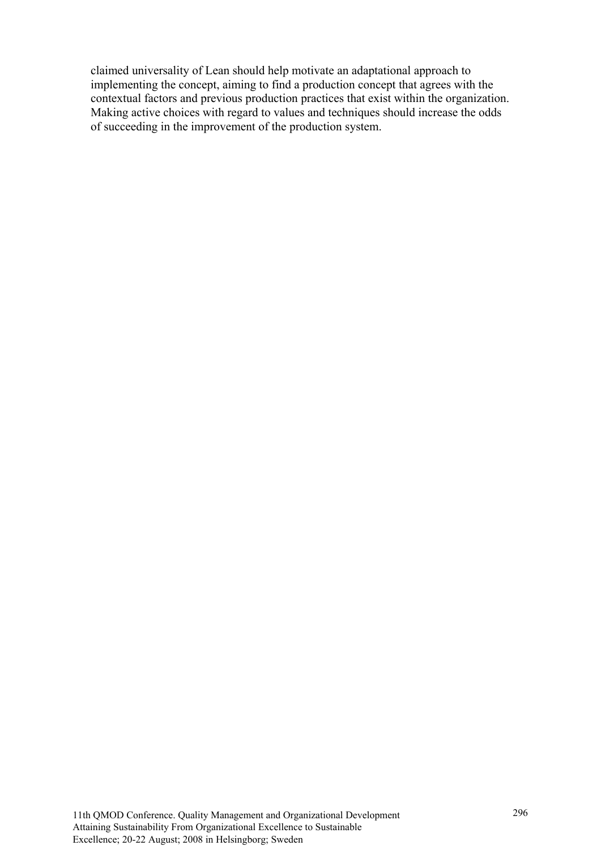claimed universality of Lean should help motivate an adaptational approach to implementing the concept, aiming to find a production concept that agrees with the contextual factors and previous production practices that exist within the organization. Making active choices with regard to values and techniques should increase the odds of succeeding in the improvement of the production system.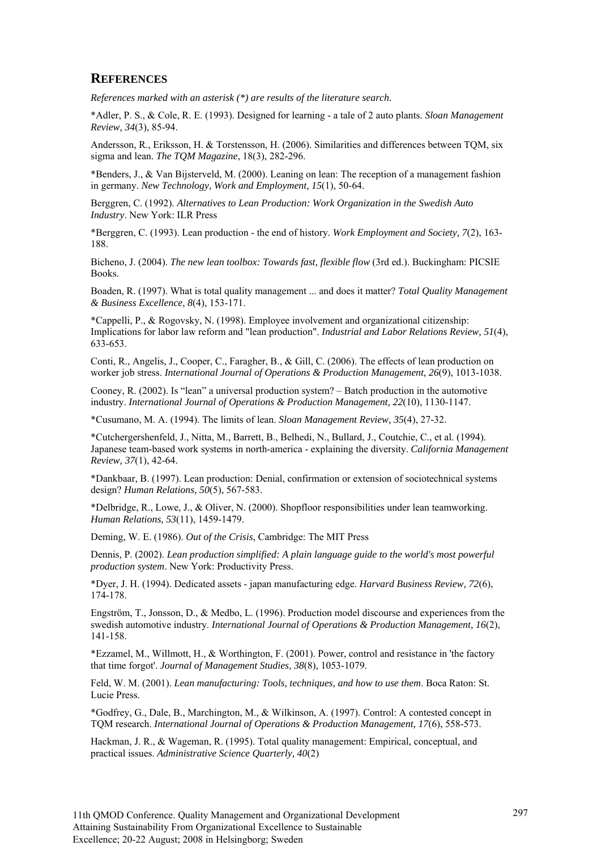#### **REFERENCES**

*References marked with an asterisk (\*) are results of the literature search.* 

\*Adler, P. S., & Cole, R. E. (1993). Designed for learning - a tale of 2 auto plants. *Sloan Management Review, 34*(3), 85-94.

Andersson, R., Eriksson, H. & Torstensson, H. (2006). Similarities and differences between TQM, six sigma and lean. *The TQM Magazine*, 18(3), 282-296.

\*Benders, J., & Van Bijsterveld, M. (2000). Leaning on lean: The reception of a management fashion in germany. *New Technology, Work and Employment, 15*(1), 50-64.

Berggren, C. (1992). *Alternatives to Lean Production: Work Organization in the Swedish Auto Industry*. New York: ILR Press

\*Berggren, C. (1993). Lean production - the end of history. *Work Employment and Society, 7*(2), 163- 188.

Bicheno, J. (2004). *The new lean toolbox: Towards fast, flexible flow* (3rd ed.). Buckingham: PICSIE Books.

Boaden, R. (1997). What is total quality management ... and does it matter? *Total Quality Management & Business Excellence, 8*(4), 153-171.

\*Cappelli, P., & Rogovsky, N. (1998). Employee involvement and organizational citizenship: Implications for labor law reform and "lean production". *Industrial and Labor Relations Review, 51*(4), 633-653.

Conti, R., Angelis, J., Cooper, C., Faragher, B., & Gill, C. (2006). The effects of lean production on worker job stress. *International Journal of Operations & Production Management, 26*(9), 1013-1038.

Cooney, R. (2002). Is "lean" a universal production system? – Batch production in the automotive industry. *International Journal of Operations & Production Management, 22*(10), 1130-1147.

\*Cusumano, M. A. (1994). The limits of lean. *Sloan Management Review, 35*(4), 27-32.

\*Cutchergershenfeld, J., Nitta, M., Barrett, B., Belhedi, N., Bullard, J., Coutchie, C., et al. (1994). Japanese team-based work systems in north-america - explaining the diversity. *California Management Review, 37*(1), 42-64.

\*Dankbaar, B. (1997). Lean production: Denial, confirmation or extension of sociotechnical systems design? *Human Relations, 50*(5), 567-583.

\*Delbridge, R., Lowe, J., & Oliver, N. (2000). Shopfloor responsibilities under lean teamworking. *Human Relations, 53*(11), 1459-1479.

Deming, W. E. (1986). *Out of the Crisis*, Cambridge: The MIT Press

Dennis, P. (2002). *Lean production simplified: A plain language guide to the world's most powerful production system*. New York: Productivity Press.

\*Dyer, J. H. (1994). Dedicated assets - japan manufacturing edge. *Harvard Business Review, 72*(6), 174-178.

Engström, T., Jonsson, D., & Medbo, L. (1996). Production model discourse and experiences from the swedish automotive industry. *International Journal of Operations & Production Management, 16*(2), 141-158.

\*Ezzamel, M., Willmott, H., & Worthington, F. (2001). Power, control and resistance in 'the factory that time forgot'. *Journal of Management Studies, 38*(8), 1053-1079.

Feld, W. M. (2001). *Lean manufacturing: Tools, techniques, and how to use them*. Boca Raton: St. Lucie Press.

\*Godfrey, G., Dale, B., Marchington, M., & Wilkinson, A. (1997). Control: A contested concept in TQM research. *International Journal of Operations & Production Management, 17*(6), 558-573.

Hackman, J. R., & Wageman, R. (1995). Total quality management: Empirical, conceptual, and practical issues. *Administrative Science Quarterly, 40*(2)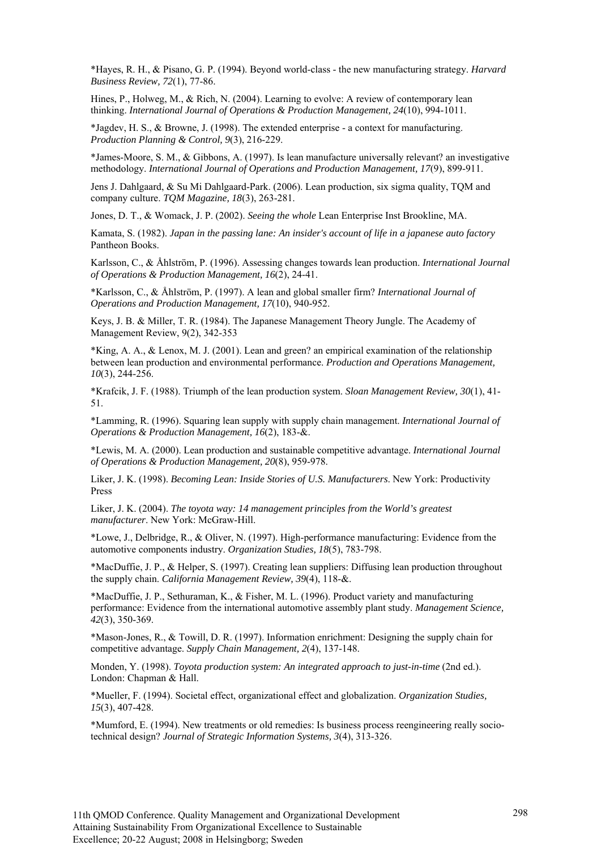\*Hayes, R. H., & Pisano, G. P. (1994). Beyond world-class - the new manufacturing strategy. *Harvard Business Review, 72*(1), 77-86.

Hines, P., Holweg, M., & Rich, N. (2004). Learning to evolve: A review of contemporary lean thinking. *International Journal of Operations & Production Management, 24*(10), 994-1011.

\*Jagdev, H. S., & Browne, J. (1998). The extended enterprise - a context for manufacturing. *Production Planning & Control, 9*(3), 216-229.

\*James-Moore, S. M., & Gibbons, A. (1997). Is lean manufacture universally relevant? an investigative methodology. *International Journal of Operations and Production Management, 17*(9), 899-911.

Jens J. Dahlgaard, & Su Mi Dahlgaard-Park. (2006). Lean production, six sigma quality, TQM and company culture. *TQM Magazine, 18*(3), 263-281.

Jones, D. T., & Womack, J. P. (2002). *Seeing the whole* Lean Enterprise Inst Brookline, MA.

Kamata, S. (1982). *Japan in the passing lane: An insider's account of life in a japanese auto factory* Pantheon Books.

Karlsson, C., & Åhlström, P. (1996). Assessing changes towards lean production. *International Journal of Operations & Production Management, 16*(2), 24-41.

\*Karlsson, C., & Åhlström, P. (1997). A lean and global smaller firm? *International Journal of Operations and Production Management, 17*(10), 940-952.

Keys, J. B. & Miller, T. R. (1984). The Japanese Management Theory Jungle. The Academy of Management Review, 9(2), 342-353

\*King, A. A., & Lenox, M. J. (2001). Lean and green? an empirical examination of the relationship between lean production and environmental performance. *Production and Operations Management, 10*(3), 244-256.

\*Krafcik, J. F. (1988). Triumph of the lean production system. *Sloan Management Review, 30*(1), 41- 51.

\*Lamming, R. (1996). Squaring lean supply with supply chain management. *International Journal of Operations & Production Management, 16*(2), 183-&.

\*Lewis, M. A. (2000). Lean production and sustainable competitive advantage. *International Journal of Operations & Production Management, 20*(8), 959-978.

Liker, J. K. (1998). *Becoming Lean: Inside Stories of U.S. Manufacturers*. New York: Productivity Press

Liker, J. K. (2004). *The toyota way: 14 management principles from the World's greatest manufacturer*. New York: McGraw-Hill.

\*Lowe, J., Delbridge, R., & Oliver, N. (1997). High-performance manufacturing: Evidence from the automotive components industry. *Organization Studies, 18*(5), 783-798.

\*MacDuffie, J. P., & Helper, S. (1997). Creating lean suppliers: Diffusing lean production throughout the supply chain. *California Management Review, 39*(4), 118-&.

\*MacDuffie, J. P., Sethuraman, K., & Fisher, M. L. (1996). Product variety and manufacturing performance: Evidence from the international automotive assembly plant study. *Management Science, 42*(3), 350-369.

\*Mason-Jones, R., & Towill, D. R. (1997). Information enrichment: Designing the supply chain for competitive advantage. *Supply Chain Management, 2*(4), 137-148.

Monden, Y. (1998). *Toyota production system: An integrated approach to just-in-time* (2nd ed.). London: Chapman & Hall.

\*Mueller, F. (1994). Societal effect, organizational effect and globalization. *Organization Studies, 15*(3), 407-428.

\*Mumford, E. (1994). New treatments or old remedies: Is business process reengineering really sociotechnical design? *Journal of Strategic Information Systems, 3*(4), 313-326.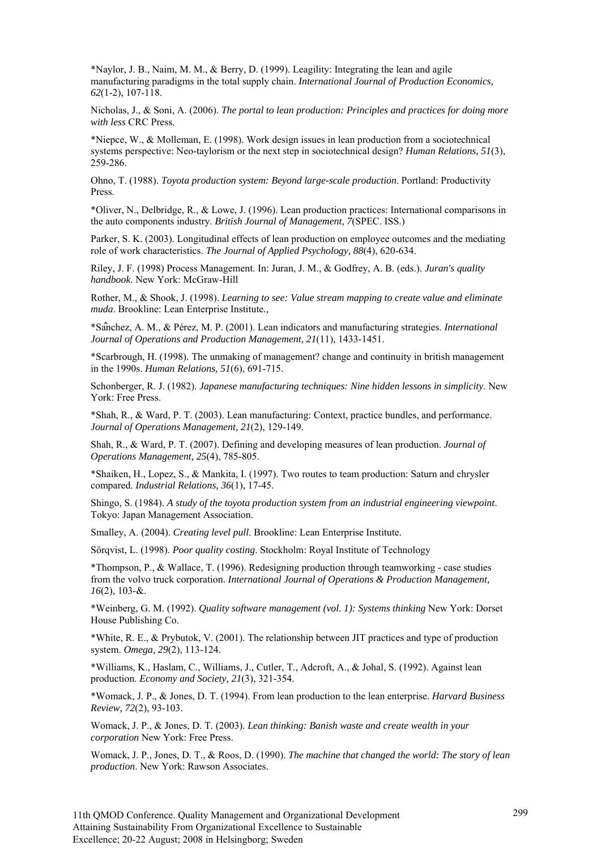\*Naylor, J. B., Naim, M. M., & Berry, D. (1999). Leagility: Integrating the lean and agile manufacturing paradigms in the total supply chain. *International Journal of Production Economics, 62*(1-2), 107-118.

Nicholas, J., & Soni, A. (2006). *The portal to lean production: Principles and practices for doing more with less* CRC Press.

\*Niepce, W., & Molleman, E. (1998). Work design issues in lean production from a sociotechnical systems perspective: Neo-taylorism or the next step in sociotechnical design? *Human Relations, 51*(3), 259-286.

Ohno, T. (1988). *Toyota production system: Beyond large-scale production*. Portland: Productivity Press.

\*Oliver, N., Delbridge, R., & Lowe, J. (1996). Lean production practices: International comparisons in the auto components industry. *British Journal of Management, 7*(SPEC. ISS.)

Parker, S. K. (2003). Longitudinal effects of lean production on employee outcomes and the mediating role of work characteristics. *The Journal of Applied Psychology, 88*(4), 620-634.

Riley, J. F. (1998) Process Management. In: Juran, J. M., & Godfrey, A. B. (eds.). *Juran's quality handbook*. New York: McGraw-Hill

Rother, M., & Shook, J. (1998). *Learning to see: Value stream mapping to create value and eliminate muda*. Brookline: Lean Enterprise Institute*.,* 

\*Sânchez, A. M., & Pérez, M. P. (2001). Lean indicators and manufacturing strategies. *International Journal of Operations and Production Management, 21*(11), 1433-1451.

\*Scarbrough, H. (1998). The unmaking of management? change and continuity in british management in the 1990s. *Human Relations, 51*(6), 691-715.

Schonberger, R. J. (1982). *Japanese manufacturing techniques: Nine hidden lessons in simplicity*. New York: Free Press.

\*Shah, R., & Ward, P. T. (2003). Lean manufacturing: Context, practice bundles, and performance. *Journal of Operations Management, 21*(2), 129-149.

Shah, R., & Ward, P. T. (2007). Defining and developing measures of lean production. *Journal of Operations Management, 25*(4), 785-805.

\*Shaiken, H., Lopez, S., & Mankita, I. (1997). Two routes to team production: Saturn and chrysler compared. *Industrial Relations, 36*(1), 17-45.

Shingo, S. (1984). *A study of the toyota production system from an industrial engineering viewpoint*. Tokyo: Japan Management Association.

Smalley, A. (2004). *Creating level pull*. Brookline: Lean Enterprise Institute.

Sörqvist, L. (1998). *Poor quality costing*. Stockholm: Royal Institute of Technology

\*Thompson, P., & Wallace, T. (1996). Redesigning production through teamworking - case studies from the volvo truck corporation. *International Journal of Operations & Production Management, 16*(2), 103-&.

\*Weinberg, G. M. (1992). *Quality software management (vol. 1): Systems thinking* New York: Dorset House Publishing Co.

\*White, R. E., & Prybutok, V. (2001). The relationship between JIT practices and type of production system. *Omega, 29*(2), 113-124.

\*Williams, K., Haslam, C., Williams, J., Cutler, T., Adcroft, A., & Johal, S. (1992). Against lean production. *Economy and Society, 21*(3), 321-354.

\*Womack, J. P., & Jones, D. T. (1994). From lean production to the lean enterprise. *Harvard Business Review, 72*(2), 93-103.

Womack, J. P., & Jones, D. T. (2003). *Lean thinking: Banish waste and create wealth in your corporation* New York: Free Press.

Womack, J. P., Jones, D. T., & Roos, D. (1990). *The machine that changed the world: The story of lean production*. New York: Rawson Associates.